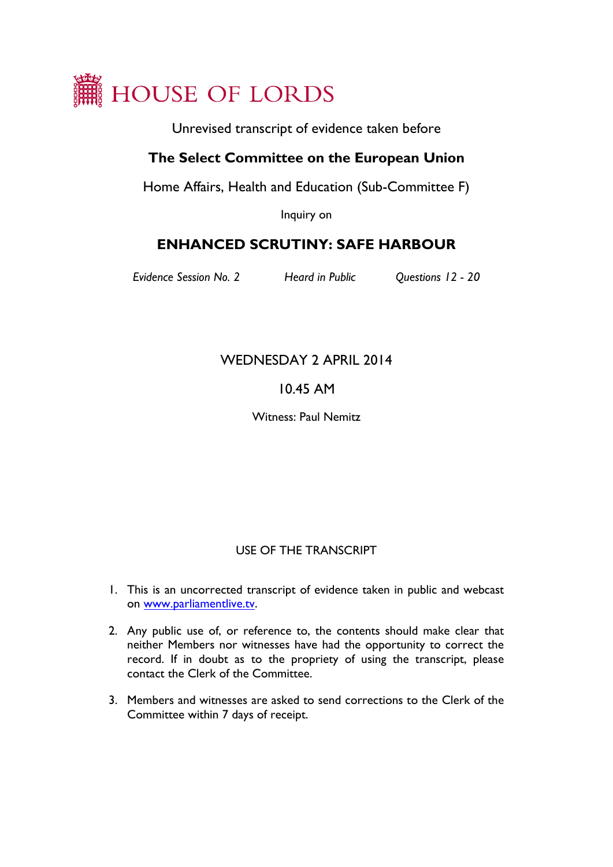

Unrevised transcript of evidence taken before

## **The Select Committee on the European Union**

Home Affairs, Health and Education (Sub-Committee F)

Inquiry on

# **ENHANCED SCRUTINY: SAFE HARBOUR**

*Evidence Session No. 2 Heard in Public Questions 12 - 20*

## WEDNESDAY 2 APRIL 2014

## 10.45 AM

Witness: Paul Nemitz

### USE OF THE TRANSCRIPT

- 1. This is an uncorrected transcript of evidence taken in public and webcast on [www.parliamentlive.tv.](http://www.parliamentlive.tv/)
- 2. Any public use of, or reference to, the contents should make clear that neither Members nor witnesses have had the opportunity to correct the record. If in doubt as to the propriety of using the transcript, please contact the Clerk of the Committee.
- 3. Members and witnesses are asked to send corrections to the Clerk of the Committee within 7 days of receipt.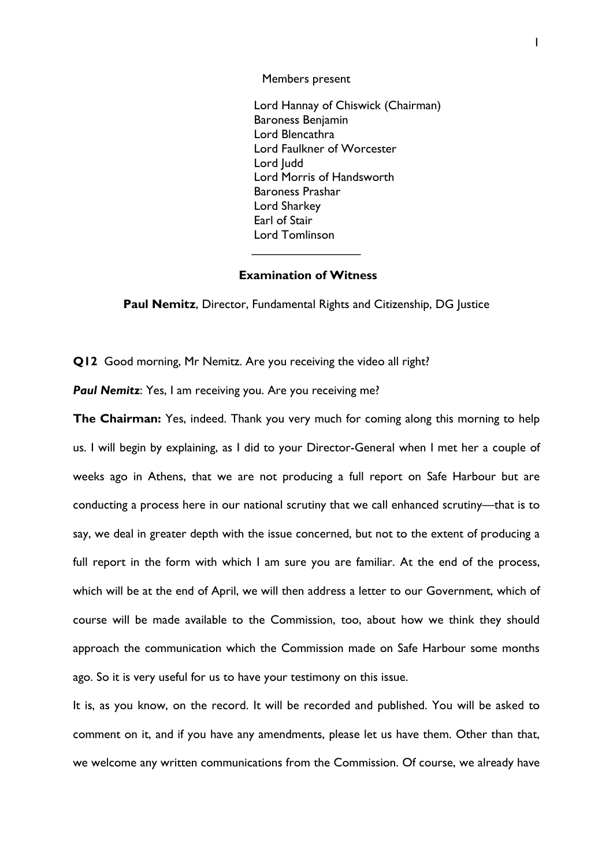Members present

Lord Hannay of Chiswick (Chairman) Baroness Benjamin Lord Blencathra Lord Faulkner of Worcester Lord Judd Lord Morris of Handsworth Baroness Prashar Lord Sharkey Earl of Stair Lord Tomlinson

#### **Examination of Witness**

 $\overline{\phantom{a}}$ 

**Paul Nemitz**, Director, Fundamental Rights and Citizenship, DG Justice

**Q12** Good morning, Mr Nemitz. Are you receiving the video all right?

**Paul Nemitz:** Yes, I am receiving you. Are you receiving me?

**The Chairman:** Yes, indeed. Thank you very much for coming along this morning to help us. I will begin by explaining, as I did to your Director-General when I met her a couple of weeks ago in Athens, that we are not producing a full report on Safe Harbour but are conducting a process here in our national scrutiny that we call enhanced scrutiny—that is to say, we deal in greater depth with the issue concerned, but not to the extent of producing a full report in the form with which I am sure you are familiar. At the end of the process, which will be at the end of April, we will then address a letter to our Government, which of course will be made available to the Commission, too, about how we think they should approach the communication which the Commission made on Safe Harbour some months ago. So it is very useful for us to have your testimony on this issue.

It is, as you know, on the record. It will be recorded and published. You will be asked to comment on it, and if you have any amendments, please let us have them. Other than that, we welcome any written communications from the Commission. Of course, we already have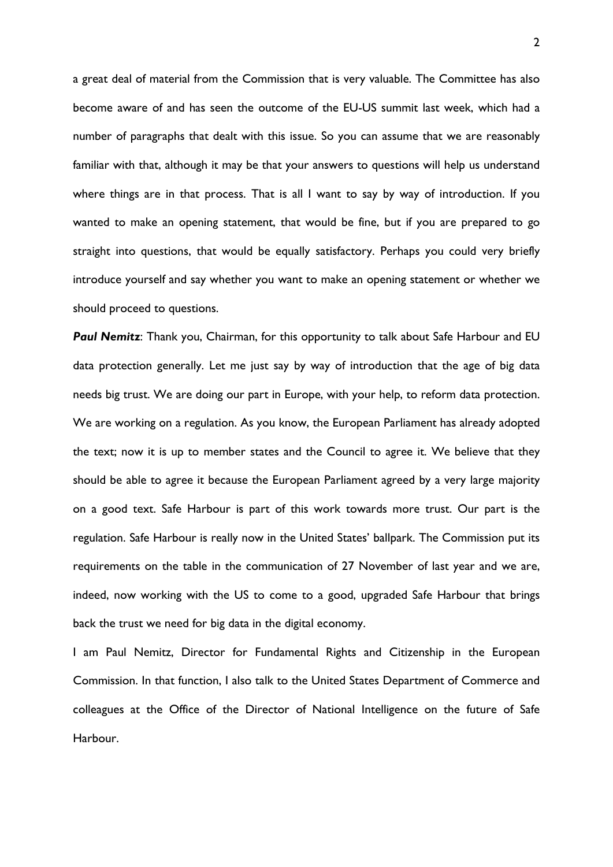a great deal of material from the Commission that is very valuable. The Committee has also become aware of and has seen the outcome of the EU-US summit last week, which had a number of paragraphs that dealt with this issue. So you can assume that we are reasonably familiar with that, although it may be that your answers to questions will help us understand where things are in that process. That is all I want to say by way of introduction. If you wanted to make an opening statement, that would be fine, but if you are prepared to go straight into questions, that would be equally satisfactory. Perhaps you could very briefly introduce yourself and say whether you want to make an opening statement or whether we should proceed to questions.

**Paul Nemitz:** Thank you, Chairman, for this opportunity to talk about Safe Harbour and EU data protection generally. Let me just say by way of introduction that the age of big data needs big trust. We are doing our part in Europe, with your help, to reform data protection. We are working on a regulation. As you know, the European Parliament has already adopted the text; now it is up to member states and the Council to agree it. We believe that they should be able to agree it because the European Parliament agreed by a very large majority on a good text. Safe Harbour is part of this work towards more trust. Our part is the regulation. Safe Harbour is really now in the United States' ballpark. The Commission put its requirements on the table in the communication of 27 November of last year and we are, indeed, now working with the US to come to a good, upgraded Safe Harbour that brings back the trust we need for big data in the digital economy.

I am Paul Nemitz, Director for Fundamental Rights and Citizenship in the European Commission. In that function, I also talk to the United States Department of Commerce and colleagues at the Office of the Director of National Intelligence on the future of Safe **Harbour**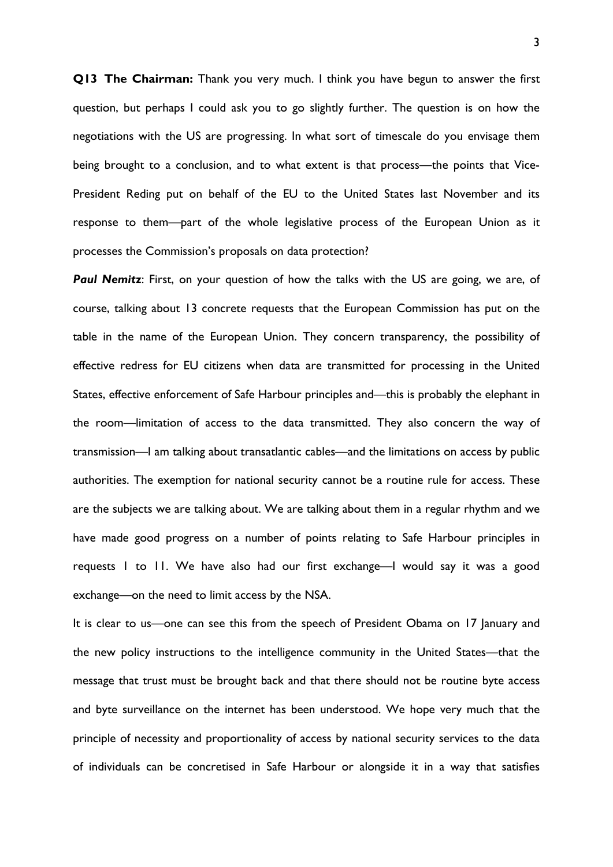**Q13 The Chairman:** Thank you very much. I think you have begun to answer the first question, but perhaps I could ask you to go slightly further. The question is on how the negotiations with the US are progressing. In what sort of timescale do you envisage them being brought to a conclusion, and to what extent is that process—the points that Vice-President Reding put on behalf of the EU to the United States last November and its response to them—part of the whole legislative process of the European Union as it processes the Commission's proposals on data protection?

**Paul Nemitz**: First, on your question of how the talks with the US are going, we are, of course, talking about 13 concrete requests that the European Commission has put on the table in the name of the European Union. They concern transparency, the possibility of effective redress for EU citizens when data are transmitted for processing in the United States, effective enforcement of Safe Harbour principles and—this is probably the elephant in the room—limitation of access to the data transmitted. They also concern the way of transmission—I am talking about transatlantic cables—and the limitations on access by public authorities. The exemption for national security cannot be a routine rule for access. These are the subjects we are talking about. We are talking about them in a regular rhythm and we have made good progress on a number of points relating to Safe Harbour principles in requests 1 to 11. We have also had our first exchange—I would say it was a good exchange—on the need to limit access by the NSA.

It is clear to us—one can see this from the speech of President Obama on 17 January and the new policy instructions to the intelligence community in the United States—that the message that trust must be brought back and that there should not be routine byte access and byte surveillance on the internet has been understood. We hope very much that the principle of necessity and proportionality of access by national security services to the data of individuals can be concretised in Safe Harbour or alongside it in a way that satisfies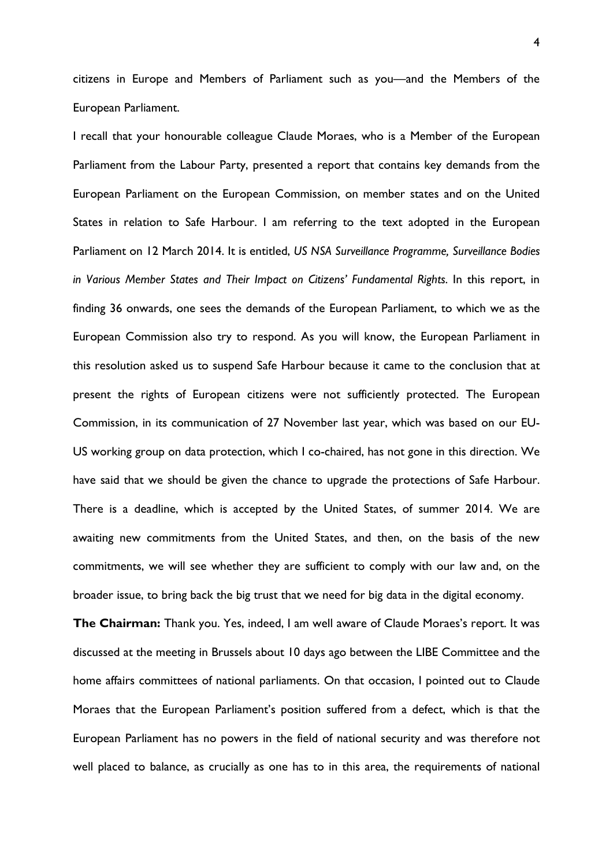citizens in Europe and Members of Parliament such as you—and the Members of the European Parliament.

I recall that your honourable colleague Claude Moraes, who is a Member of the European Parliament from the Labour Party, presented a report that contains key demands from the European Parliament on the European Commission, on member states and on the United States in relation to Safe Harbour. I am referring to the text adopted in the European Parliament on 12 March 2014. It is entitled, *US NSA Surveillance Programme, Surveillance Bodies in Various Member States and Their Impact on Citizens' Fundamental Rights*. In this report, in finding 36 onwards, one sees the demands of the European Parliament, to which we as the European Commission also try to respond. As you will know, the European Parliament in this resolution asked us to suspend Safe Harbour because it came to the conclusion that at present the rights of European citizens were not sufficiently protected. The European Commission, in its communication of 27 November last year, which was based on our EU-US working group on data protection, which I co-chaired, has not gone in this direction. We have said that we should be given the chance to upgrade the protections of Safe Harbour. There is a deadline, which is accepted by the United States, of summer 2014. We are awaiting new commitments from the United States, and then, on the basis of the new commitments, we will see whether they are sufficient to comply with our law and, on the broader issue, to bring back the big trust that we need for big data in the digital economy.

**The Chairman:** Thank you. Yes, indeed, I am well aware of Claude Moraes's report. It was discussed at the meeting in Brussels about 10 days ago between the LIBE Committee and the home affairs committees of national parliaments. On that occasion, I pointed out to Claude Moraes that the European Parliament's position suffered from a defect, which is that the European Parliament has no powers in the field of national security and was therefore not well placed to balance, as crucially as one has to in this area, the requirements of national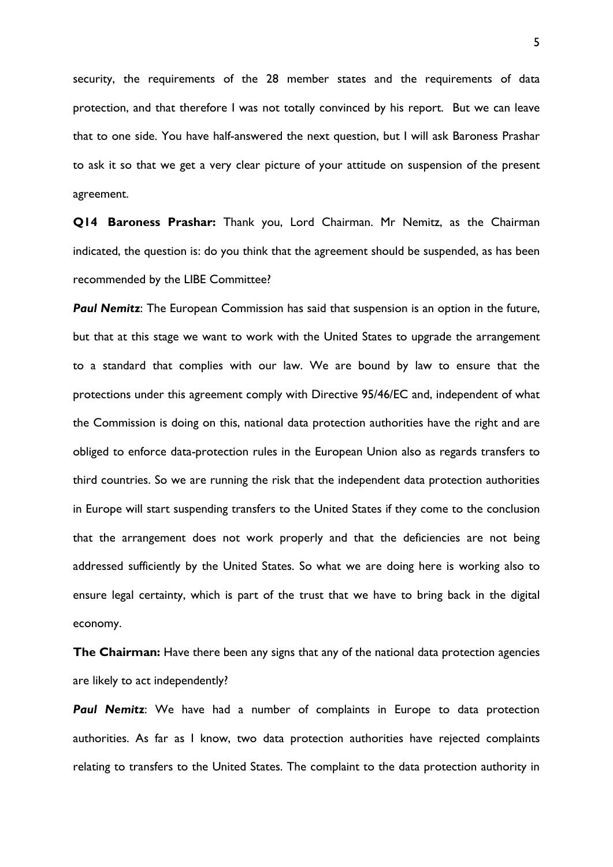security, the requirements of the 28 member states and the requirements of data protection, and that therefore I was not totally convinced by his report. But we can leave that to one side. You have half-answered the next question, but I will ask Baroness Prashar to ask it so that we get a very clear picture of your attitude on suspension of the present agreement.

**Q14 Baroness Prashar:** Thank you, Lord Chairman. Mr Nemitz, as the Chairman indicated, the question is: do you think that the agreement should be suspended, as has been recommended by the LIBE Committee?

**Paul Nemitz:** The European Commission has said that suspension is an option in the future, but that at this stage we want to work with the United States to upgrade the arrangement to a standard that complies with our law. We are bound by law to ensure that the protections under this agreement comply with Directive 95/46/EC and, independent of what the Commission is doing on this, national data protection authorities have the right and are obliged to enforce data-protection rules in the European Union also as regards transfers to third countries. So we are running the risk that the independent data protection authorities in Europe will start suspending transfers to the United States if they come to the conclusion that the arrangement does not work properly and that the deficiencies are not being addressed sufficiently by the United States. So what we are doing here is working also to ensure legal certainty, which is part of the trust that we have to bring back in the digital economy.

**The Chairman:** Have there been any signs that any of the national data protection agencies are likely to act independently?

**Paul Nemitz**: We have had a number of complaints in Europe to data protection authorities. As far as I know, two data protection authorities have rejected complaints relating to transfers to the United States. The complaint to the data protection authority in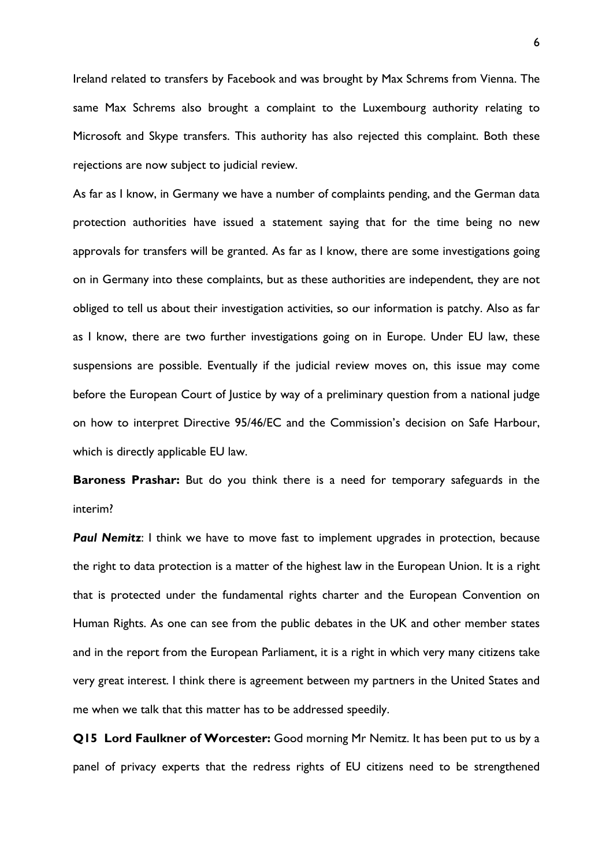Ireland related to transfers by Facebook and was brought by Max Schrems from Vienna. The same Max Schrems also brought a complaint to the Luxembourg authority relating to Microsoft and Skype transfers. This authority has also rejected this complaint. Both these rejections are now subject to judicial review.

As far as I know, in Germany we have a number of complaints pending, and the German data protection authorities have issued a statement saying that for the time being no new approvals for transfers will be granted. As far as I know, there are some investigations going on in Germany into these complaints, but as these authorities are independent, they are not obliged to tell us about their investigation activities, so our information is patchy. Also as far as I know, there are two further investigations going on in Europe. Under EU law, these suspensions are possible. Eventually if the judicial review moves on, this issue may come before the European Court of Justice by way of a preliminary question from a national judge on how to interpret Directive 95/46/EC and the Commission's decision on Safe Harbour, which is directly applicable EU law.

**Baroness Prashar:** But do you think there is a need for temporary safeguards in the interim?

**Paul Nemitz**: I think we have to move fast to implement upgrades in protection, because the right to data protection is a matter of the highest law in the European Union. It is a right that is protected under the fundamental rights charter and the European Convention on Human Rights. As one can see from the public debates in the UK and other member states and in the report from the European Parliament, it is a right in which very many citizens take very great interest. I think there is agreement between my partners in the United States and me when we talk that this matter has to be addressed speedily.

**Q15 Lord Faulkner of Worcester:** Good morning Mr Nemitz. It has been put to us by a panel of privacy experts that the redress rights of EU citizens need to be strengthened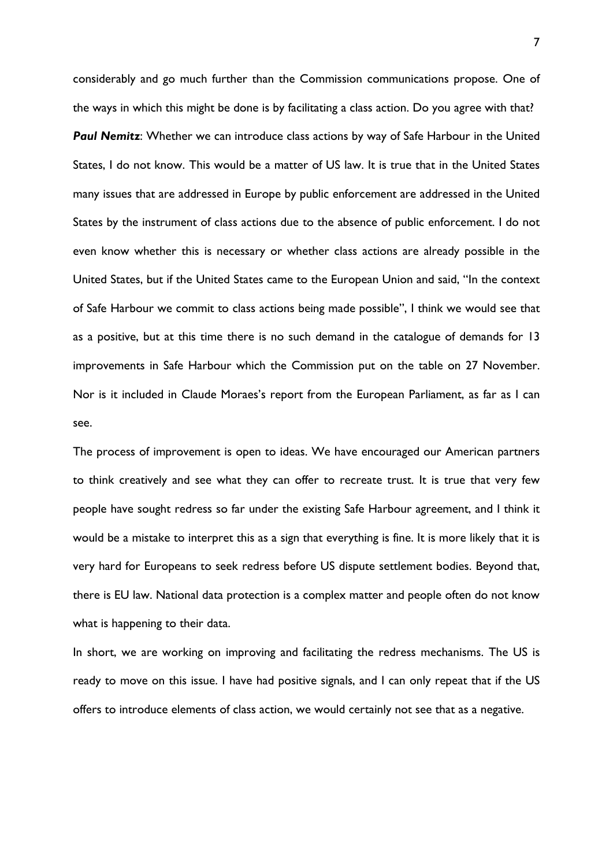considerably and go much further than the Commission communications propose. One of the ways in which this might be done is by facilitating a class action. Do you agree with that? *Paul Nemitz*: Whether we can introduce class actions by way of Safe Harbour in the United States, I do not know. This would be a matter of US law. It is true that in the United States many issues that are addressed in Europe by public enforcement are addressed in the United States by the instrument of class actions due to the absence of public enforcement. I do not even know whether this is necessary or whether class actions are already possible in the United States, but if the United States came to the European Union and said, "In the context of Safe Harbour we commit to class actions being made possible", I think we would see that as a positive, but at this time there is no such demand in the catalogue of demands for 13 improvements in Safe Harbour which the Commission put on the table on 27 November. Nor is it included in Claude Moraes's report from the European Parliament, as far as I can see.

The process of improvement is open to ideas. We have encouraged our American partners to think creatively and see what they can offer to recreate trust. It is true that very few people have sought redress so far under the existing Safe Harbour agreement, and I think it would be a mistake to interpret this as a sign that everything is fine. It is more likely that it is very hard for Europeans to seek redress before US dispute settlement bodies. Beyond that, there is EU law. National data protection is a complex matter and people often do not know what is happening to their data.

In short, we are working on improving and facilitating the redress mechanisms. The US is ready to move on this issue. I have had positive signals, and I can only repeat that if the US offers to introduce elements of class action, we would certainly not see that as a negative.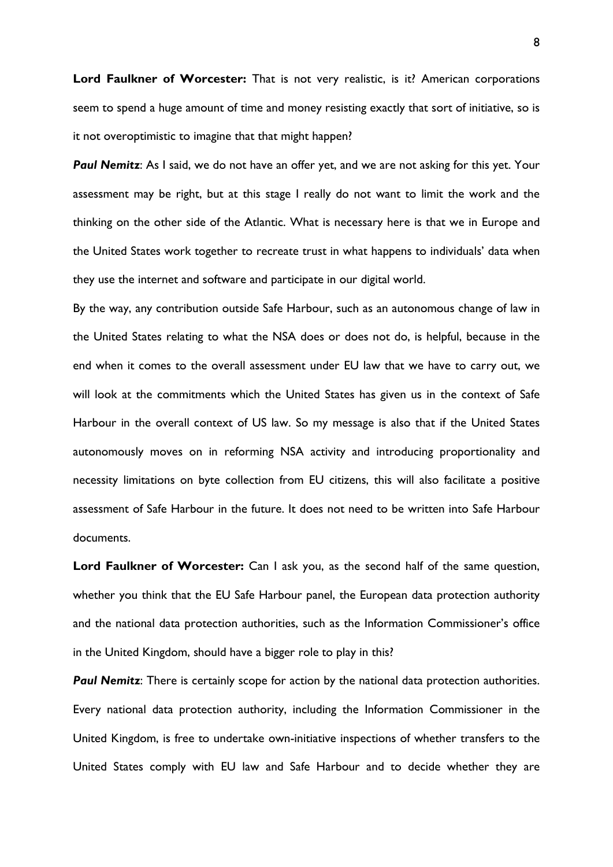**Lord Faulkner of Worcester:** That is not very realistic, is it? American corporations seem to spend a huge amount of time and money resisting exactly that sort of initiative, so is it not overoptimistic to imagine that that might happen?

**Paul Nemitz**: As I said, we do not have an offer yet, and we are not asking for this yet. Your assessment may be right, but at this stage I really do not want to limit the work and the thinking on the other side of the Atlantic. What is necessary here is that we in Europe and the United States work together to recreate trust in what happens to individuals' data when they use the internet and software and participate in our digital world.

By the way, any contribution outside Safe Harbour, such as an autonomous change of law in the United States relating to what the NSA does or does not do, is helpful, because in the end when it comes to the overall assessment under EU law that we have to carry out, we will look at the commitments which the United States has given us in the context of Safe Harbour in the overall context of US law. So my message is also that if the United States autonomously moves on in reforming NSA activity and introducing proportionality and necessity limitations on byte collection from EU citizens, this will also facilitate a positive assessment of Safe Harbour in the future. It does not need to be written into Safe Harbour documents.

**Lord Faulkner of Worcester:** Can I ask you, as the second half of the same question, whether you think that the EU Safe Harbour panel, the European data protection authority and the national data protection authorities, such as the Information Commissioner's office in the United Kingdom, should have a bigger role to play in this?

**Paul Nemitz:** There is certainly scope for action by the national data protection authorities. Every national data protection authority, including the Information Commissioner in the United Kingdom, is free to undertake own-initiative inspections of whether transfers to the United States comply with EU law and Safe Harbour and to decide whether they are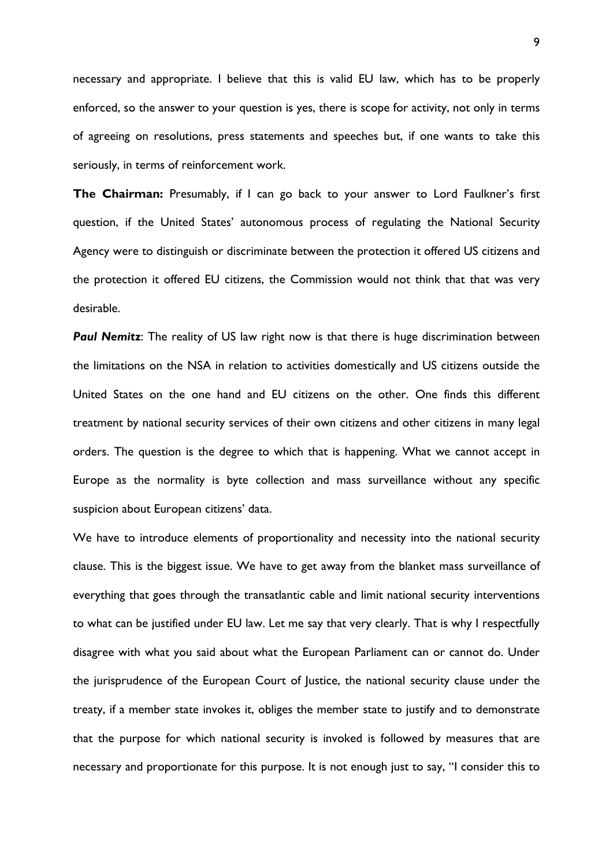necessary and appropriate. I believe that this is valid EU law, which has to be properly enforced, so the answer to your question is yes, there is scope for activity, not only in terms of agreeing on resolutions, press statements and speeches but, if one wants to take this seriously, in terms of reinforcement work.

**The Chairman:** Presumably, if I can go back to your answer to Lord Faulkner's first question, if the United States' autonomous process of regulating the National Security Agency were to distinguish or discriminate between the protection it offered US citizens and the protection it offered EU citizens, the Commission would not think that that was very desirable.

**Paul Nemitz**: The reality of US law right now is that there is huge discrimination between the limitations on the NSA in relation to activities domestically and US citizens outside the United States on the one hand and EU citizens on the other. One finds this different treatment by national security services of their own citizens and other citizens in many legal orders. The question is the degree to which that is happening. What we cannot accept in Europe as the normality is byte collection and mass surveillance without any specific suspicion about European citizens' data.

We have to introduce elements of proportionality and necessity into the national security clause. This is the biggest issue. We have to get away from the blanket mass surveillance of everything that goes through the transatlantic cable and limit national security interventions to what can be justified under EU law. Let me say that very clearly. That is why I respectfully disagree with what you said about what the European Parliament can or cannot do. Under the jurisprudence of the European Court of Justice, the national security clause under the treaty, if a member state invokes it, obliges the member state to justify and to demonstrate that the purpose for which national security is invoked is followed by measures that are necessary and proportionate for this purpose. It is not enough just to say, "I consider this to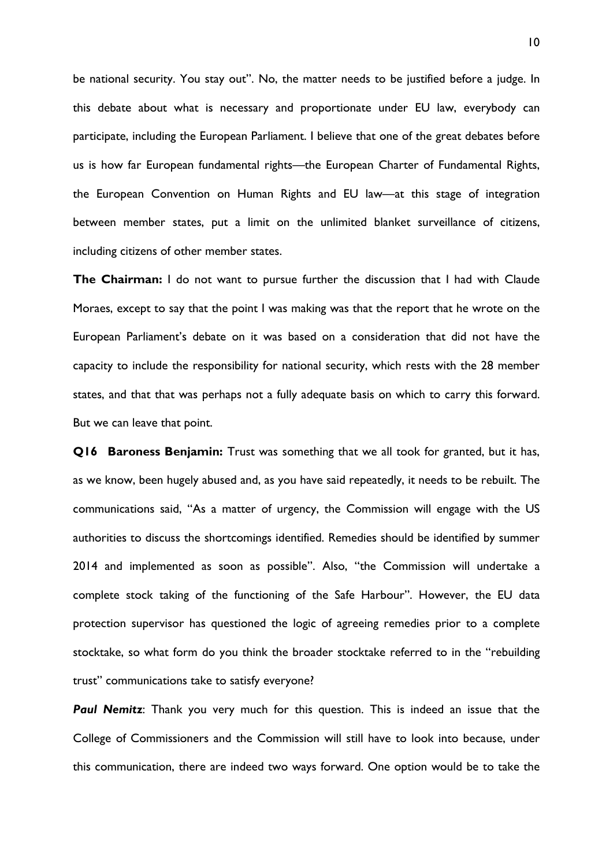be national security. You stay out". No, the matter needs to be justified before a judge. In this debate about what is necessary and proportionate under EU law, everybody can participate, including the European Parliament. I believe that one of the great debates before us is how far European fundamental rights—the European Charter of Fundamental Rights, the European Convention on Human Rights and EU law—at this stage of integration between member states, put a limit on the unlimited blanket surveillance of citizens, including citizens of other member states.

**The Chairman:** I do not want to pursue further the discussion that I had with Claude Moraes, except to say that the point I was making was that the report that he wrote on the European Parliament's debate on it was based on a consideration that did not have the capacity to include the responsibility for national security, which rests with the 28 member states, and that that was perhaps not a fully adequate basis on which to carry this forward. But we can leave that point.

**Q16 Baroness Benjamin:** Trust was something that we all took for granted, but it has, as we know, been hugely abused and, as you have said repeatedly, it needs to be rebuilt. The communications said, "As a matter of urgency, the Commission will engage with the US authorities to discuss the shortcomings identified. Remedies should be identified by summer 2014 and implemented as soon as possible". Also, "the Commission will undertake a complete stock taking of the functioning of the Safe Harbour". However, the EU data protection supervisor has questioned the logic of agreeing remedies prior to a complete stocktake, so what form do you think the broader stocktake referred to in the "rebuilding trust" communications take to satisfy everyone?

*Paul Nemitz*: Thank you very much for this question. This is indeed an issue that the College of Commissioners and the Commission will still have to look into because, under this communication, there are indeed two ways forward. One option would be to take the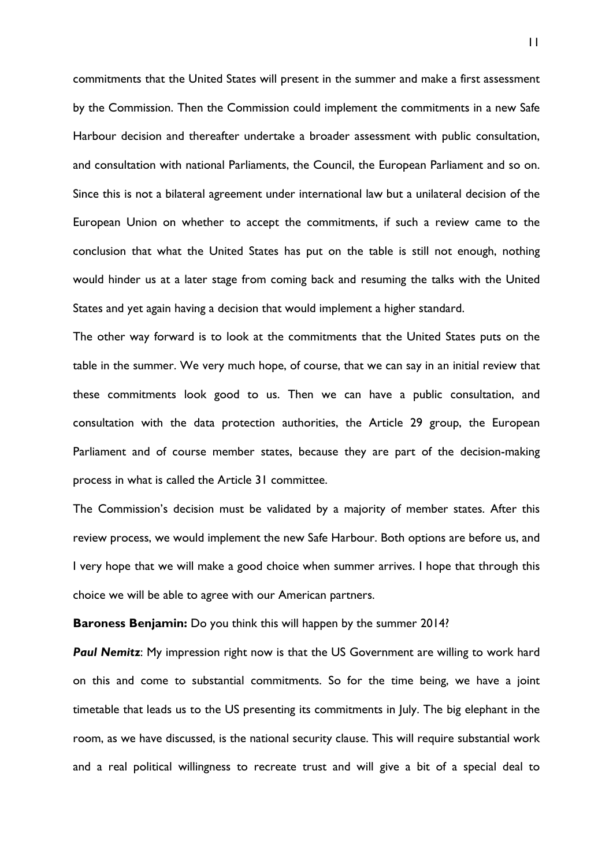commitments that the United States will present in the summer and make a first assessment by the Commission. Then the Commission could implement the commitments in a new Safe Harbour decision and thereafter undertake a broader assessment with public consultation, and consultation with national Parliaments, the Council, the European Parliament and so on. Since this is not a bilateral agreement under international law but a unilateral decision of the European Union on whether to accept the commitments, if such a review came to the conclusion that what the United States has put on the table is still not enough, nothing would hinder us at a later stage from coming back and resuming the talks with the United States and yet again having a decision that would implement a higher standard.

The other way forward is to look at the commitments that the United States puts on the table in the summer. We very much hope, of course, that we can say in an initial review that these commitments look good to us. Then we can have a public consultation, and consultation with the data protection authorities, the Article 29 group, the European Parliament and of course member states, because they are part of the decision-making process in what is called the Article 31 committee.

The Commission's decision must be validated by a majority of member states. After this review process, we would implement the new Safe Harbour. Both options are before us, and I very hope that we will make a good choice when summer arrives. I hope that through this choice we will be able to agree with our American partners.

**Baroness Benjamin:** Do you think this will happen by the summer 2014?

**Paul Nemitz:** My impression right now is that the US Government are willing to work hard on this and come to substantial commitments. So for the time being, we have a joint timetable that leads us to the US presenting its commitments in July. The big elephant in the room, as we have discussed, is the national security clause. This will require substantial work and a real political willingness to recreate trust and will give a bit of a special deal to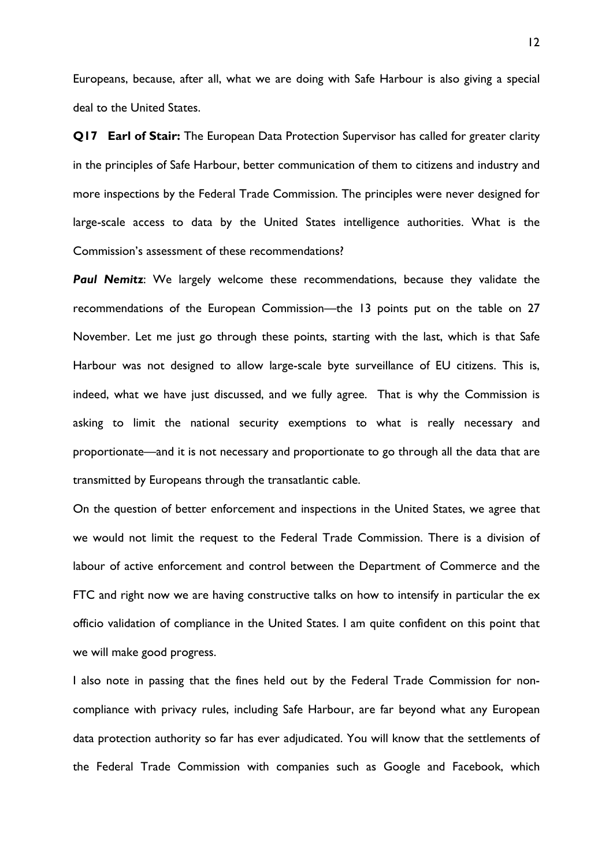Europeans, because, after all, what we are doing with Safe Harbour is also giving a special deal to the United States.

**Q17 Earl of Stair:** The European Data Protection Supervisor has called for greater clarity in the principles of Safe Harbour, better communication of them to citizens and industry and more inspections by the Federal Trade Commission. The principles were never designed for large-scale access to data by the United States intelligence authorities. What is the Commission's assessment of these recommendations?

**Paul Nemitz**: We largely welcome these recommendations, because they validate the recommendations of the European Commission—the 13 points put on the table on 27 November. Let me just go through these points, starting with the last, which is that Safe Harbour was not designed to allow large-scale byte surveillance of EU citizens. This is, indeed, what we have just discussed, and we fully agree. That is why the Commission is asking to limit the national security exemptions to what is really necessary and proportionate—and it is not necessary and proportionate to go through all the data that are transmitted by Europeans through the transatlantic cable.

On the question of better enforcement and inspections in the United States, we agree that we would not limit the request to the Federal Trade Commission. There is a division of labour of active enforcement and control between the Department of Commerce and the FTC and right now we are having constructive talks on how to intensify in particular the ex officio validation of compliance in the United States. I am quite confident on this point that we will make good progress.

I also note in passing that the fines held out by the Federal Trade Commission for noncompliance with privacy rules, including Safe Harbour, are far beyond what any European data protection authority so far has ever adjudicated. You will know that the settlements of the Federal Trade Commission with companies such as Google and Facebook, which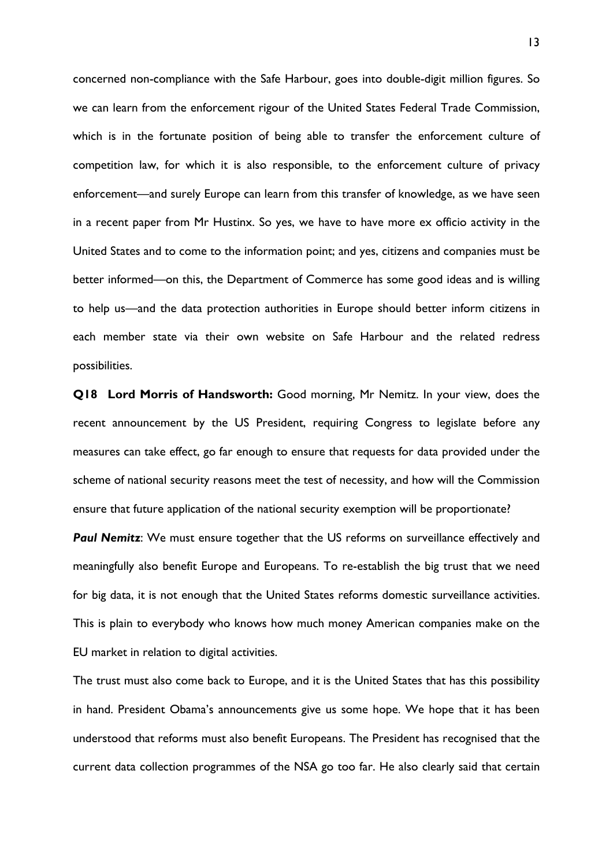concerned non-compliance with the Safe Harbour, goes into double-digit million figures. So we can learn from the enforcement rigour of the United States Federal Trade Commission, which is in the fortunate position of being able to transfer the enforcement culture of competition law, for which it is also responsible, to the enforcement culture of privacy enforcement—and surely Europe can learn from this transfer of knowledge, as we have seen in a recent paper from Mr Hustinx. So yes, we have to have more ex officio activity in the United States and to come to the information point; and yes, citizens and companies must be better informed—on this, the Department of Commerce has some good ideas and is willing to help us—and the data protection authorities in Europe should better inform citizens in each member state via their own website on Safe Harbour and the related redress possibilities.

**Q18 Lord Morris of Handsworth:** Good morning, Mr Nemitz. In your view, does the recent announcement by the US President, requiring Congress to legislate before any measures can take effect, go far enough to ensure that requests for data provided under the scheme of national security reasons meet the test of necessity, and how will the Commission ensure that future application of the national security exemption will be proportionate?

**Paul Nemitz:** We must ensure together that the US reforms on surveillance effectively and meaningfully also benefit Europe and Europeans. To re-establish the big trust that we need for big data, it is not enough that the United States reforms domestic surveillance activities. This is plain to everybody who knows how much money American companies make on the EU market in relation to digital activities.

The trust must also come back to Europe, and it is the United States that has this possibility in hand. President Obama's announcements give us some hope. We hope that it has been understood that reforms must also benefit Europeans. The President has recognised that the current data collection programmes of the NSA go too far. He also clearly said that certain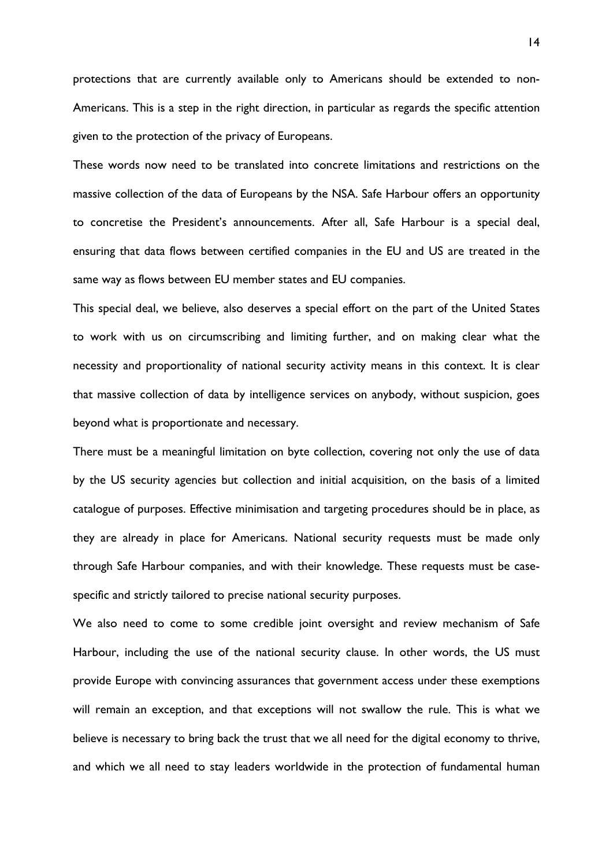protections that are currently available only to Americans should be extended to non-Americans. This is a step in the right direction, in particular as regards the specific attention given to the protection of the privacy of Europeans.

These words now need to be translated into concrete limitations and restrictions on the massive collection of the data of Europeans by the NSA. Safe Harbour offers an opportunity to concretise the President's announcements. After all, Safe Harbour is a special deal, ensuring that data flows between certified companies in the EU and US are treated in the same way as flows between EU member states and EU companies.

This special deal, we believe, also deserves a special effort on the part of the United States to work with us on circumscribing and limiting further, and on making clear what the necessity and proportionality of national security activity means in this context. It is clear that massive collection of data by intelligence services on anybody, without suspicion, goes beyond what is proportionate and necessary.

There must be a meaningful limitation on byte collection, covering not only the use of data by the US security agencies but collection and initial acquisition, on the basis of a limited catalogue of purposes. Effective minimisation and targeting procedures should be in place, as they are already in place for Americans. National security requests must be made only through Safe Harbour companies, and with their knowledge. These requests must be casespecific and strictly tailored to precise national security purposes.

We also need to come to some credible joint oversight and review mechanism of Safe Harbour, including the use of the national security clause. In other words, the US must provide Europe with convincing assurances that government access under these exemptions will remain an exception, and that exceptions will not swallow the rule. This is what we believe is necessary to bring back the trust that we all need for the digital economy to thrive, and which we all need to stay leaders worldwide in the protection of fundamental human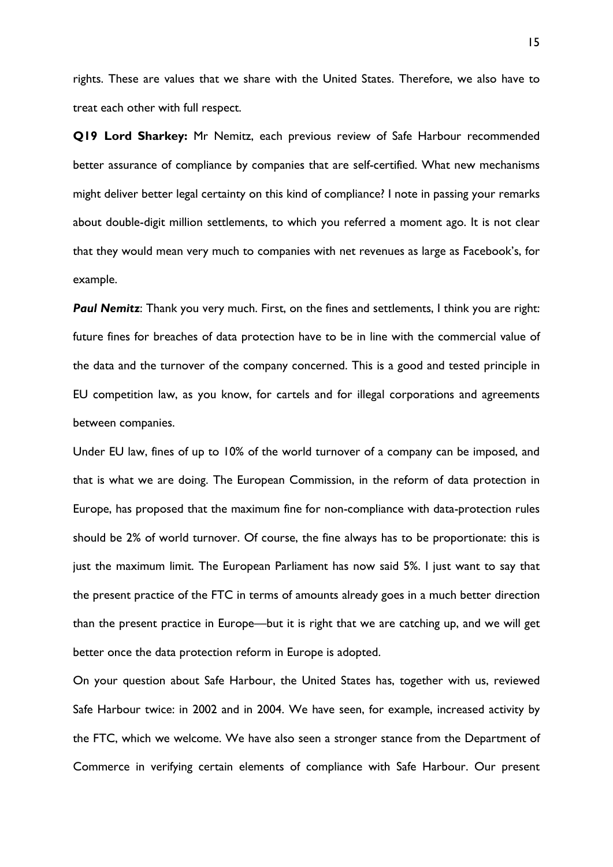rights. These are values that we share with the United States. Therefore, we also have to treat each other with full respect.

**Q19 Lord Sharkey:** Mr Nemitz, each previous review of Safe Harbour recommended better assurance of compliance by companies that are self-certified. What new mechanisms might deliver better legal certainty on this kind of compliance? I note in passing your remarks about double-digit million settlements, to which you referred a moment ago. It is not clear that they would mean very much to companies with net revenues as large as Facebook's, for example.

**Paul Nemitz:** Thank you very much. First, on the fines and settlements, I think you are right: future fines for breaches of data protection have to be in line with the commercial value of the data and the turnover of the company concerned. This is a good and tested principle in EU competition law, as you know, for cartels and for illegal corporations and agreements between companies.

Under EU law, fines of up to 10% of the world turnover of a company can be imposed, and that is what we are doing. The European Commission, in the reform of data protection in Europe, has proposed that the maximum fine for non-compliance with data-protection rules should be 2% of world turnover. Of course, the fine always has to be proportionate: this is just the maximum limit. The European Parliament has now said 5%. I just want to say that the present practice of the FTC in terms of amounts already goes in a much better direction than the present practice in Europe—but it is right that we are catching up, and we will get better once the data protection reform in Europe is adopted.

On your question about Safe Harbour, the United States has, together with us, reviewed Safe Harbour twice: in 2002 and in 2004. We have seen, for example, increased activity by the FTC, which we welcome. We have also seen a stronger stance from the Department of Commerce in verifying certain elements of compliance with Safe Harbour. Our present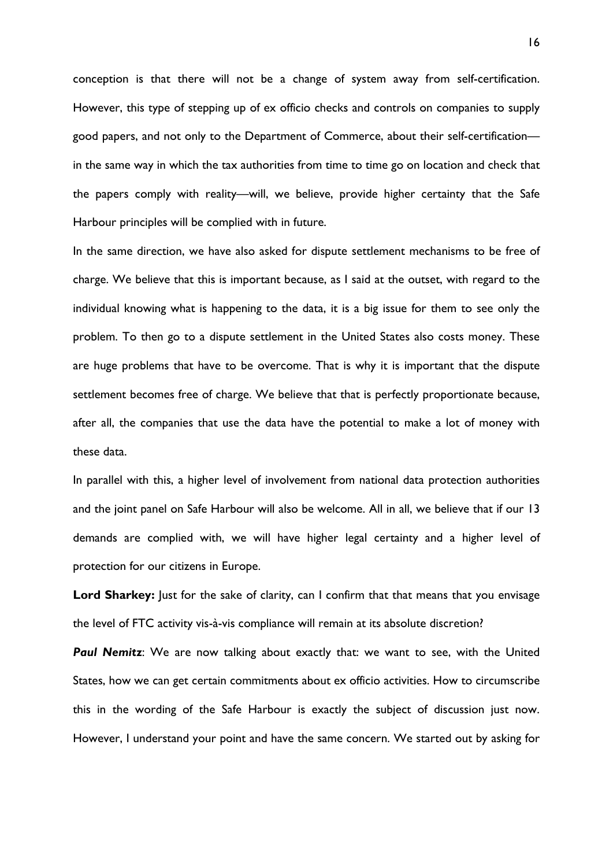conception is that there will not be a change of system away from self-certification. However, this type of stepping up of ex officio checks and controls on companies to supply good papers, and not only to the Department of Commerce, about their self-certification in the same way in which the tax authorities from time to time go on location and check that the papers comply with reality—will, we believe, provide higher certainty that the Safe Harbour principles will be complied with in future.

In the same direction, we have also asked for dispute settlement mechanisms to be free of charge. We believe that this is important because, as I said at the outset, with regard to the individual knowing what is happening to the data, it is a big issue for them to see only the problem. To then go to a dispute settlement in the United States also costs money. These are huge problems that have to be overcome. That is why it is important that the dispute settlement becomes free of charge. We believe that that is perfectly proportionate because, after all, the companies that use the data have the potential to make a lot of money with these data.

In parallel with this, a higher level of involvement from national data protection authorities and the joint panel on Safe Harbour will also be welcome. All in all, we believe that if our 13 demands are complied with, we will have higher legal certainty and a higher level of protection for our citizens in Europe.

**Lord Sharkey:** Just for the sake of clarity, can I confirm that that means that you envisage the level of FTC activity vis-à-vis compliance will remain at its absolute discretion?

**Paul Nemitz**: We are now talking about exactly that: we want to see, with the United States, how we can get certain commitments about ex officio activities. How to circumscribe this in the wording of the Safe Harbour is exactly the subject of discussion just now. However, I understand your point and have the same concern. We started out by asking for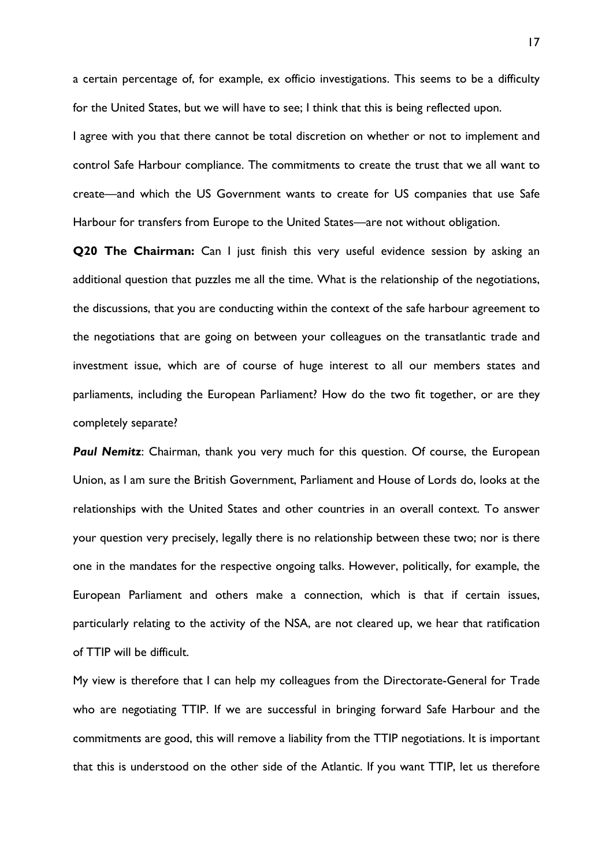a certain percentage of, for example, ex officio investigations. This seems to be a difficulty for the United States, but we will have to see; I think that this is being reflected upon.

I agree with you that there cannot be total discretion on whether or not to implement and control Safe Harbour compliance. The commitments to create the trust that we all want to create—and which the US Government wants to create for US companies that use Safe Harbour for transfers from Europe to the United States—are not without obligation.

**Q20 The Chairman:** Can I just finish this very useful evidence session by asking an additional question that puzzles me all the time. What is the relationship of the negotiations, the discussions, that you are conducting within the context of the safe harbour agreement to the negotiations that are going on between your colleagues on the transatlantic trade and investment issue, which are of course of huge interest to all our members states and parliaments, including the European Parliament? How do the two fit together, or are they completely separate?

**Paul Nemitz:** Chairman, thank you very much for this question. Of course, the European Union, as I am sure the British Government, Parliament and House of Lords do, looks at the relationships with the United States and other countries in an overall context. To answer your question very precisely, legally there is no relationship between these two; nor is there one in the mandates for the respective ongoing talks. However, politically, for example, the European Parliament and others make a connection, which is that if certain issues, particularly relating to the activity of the NSA, are not cleared up, we hear that ratification of TTIP will be difficult.

My view is therefore that I can help my colleagues from the Directorate-General for Trade who are negotiating TTIP. If we are successful in bringing forward Safe Harbour and the commitments are good, this will remove a liability from the TTIP negotiations. It is important that this is understood on the other side of the Atlantic. If you want TTIP, let us therefore